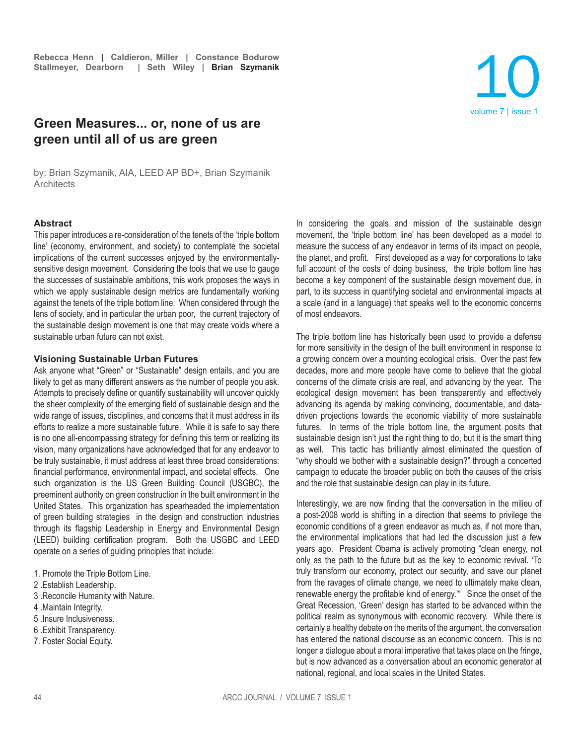# **Green Measures... or, none of us are green until all of us are green**

by: Brian Szymanik, AIA, LEED AP BD+, Brian Szymanik **Architects** 

#### **Abstract**

This paper introduces a re-consideration of the tenets of the 'triple bottom line' (economy, environment, and society) to contemplate the societal implications of the current successes enjoyed by the environmentallysensitive design movement. Considering the tools that we use to gauge the successes of sustainable ambitions, this work proposes the ways in which we apply sustainable design metrics are fundamentally working against the tenets of the triple bottom line. When considered through the lens of society, and in particular the urban poor, the current trajectory of the sustainable design movement is one that may create voids where a sustainable urban future can not exist.

#### **Visioning Sustainable Urban Futures**

Ask anyone what "Green" or "Sustainable" design entails, and you are likely to get as many different answers as the number of people you ask. Attempts to precisely define or quantify sustainability will uncover quickly the sheer complexity of the emerging field of sustainable design and the wide range of issues, disciplines, and concerns that it must address in its efforts to realize a more sustainable future. While it is safe to say there is no one all-encompassing strategy for defining this term or realizing its vision, many organizations have acknowledged that for any endeavor to be truly sustainable, it must address at least three broad considerations: financial performance, environmental impact, and societal effects. One such organization is the US Green Building Council (USGBC), the preeminent authority on green construction in the built environment in the United States. This organization has spearheaded the implementation of green building strategies in the design and construction industries through its flagship Leadership in Energy and Environmental Design (LEED) building certification program. Both the USGBC and LEED operate on a series of guiding principles that include:

- 1. Promote the Triple Bottom Line.
- 2 .Establish Leadership.
- 3 .Reconcile Humanity with Nature.
- 4 .Maintain Integrity.
- 5 .Insure Inclusiveness.
- 6 .Exhibit Transparency.
- 7. Foster Social Equity.

In considering the goals and mission of the sustainable design movement, the 'triple bottom line' has been developed as a model to measure the success of any endeavor in terms of its impact on people, the planet, and profit. First developed as a way for corporations to take full account of the costs of doing business, the triple bottom line has become a key component of the sustainable design movement due, in part, to its success in quantifying societal and environmental impacts at a scale (and in a language) that speaks well to the economic concerns of most endeavors.

volume 7 | issue 1

10

The triple bottom line has historically been used to provide a defense for more sensitivity in the design of the built environment in response to a growing concern over a mounting ecological crisis. Over the past few decades, more and more people have come to believe that the global concerns of the climate crisis are real, and advancing by the year. The ecological design movement has been transparently and effectively advancing its agenda by making convincing, documentable, and datadriven projections towards the economic viability of more sustainable futures. In terms of the triple bottom line, the argument posits that sustainable design isn't just the right thing to do, but it is the smart thing as well. This tactic has brilliantly almost eliminated the question of "why should we bother with a sustainable design?" through a concerted campaign to educate the broader public on both the causes of the crisis and the role that sustainable design can play in its future.

Interestingly, we are now finding that the conversation in the milieu of a post-2008 world is shifting in a direction that seems to privilege the economic conditions of a green endeavor as much as, if not more than, the environmental implications that had led the discussion just a few years ago. President Obama is actively promoting "clean energy, not only as the path to the future but as the key to economic revival. 'To truly transform our economy, protect our security, and save our planet from the ravages of climate change, we need to ultimately make clean, renewable energy the profitable kind of energy.'" Since the onset of the Great Recession, 'Green' design has started to be advanced within the political realm as synonymous with economic recovery. While there is certainly a healthy debate on the merits of the argument, the conversation has entered the national discourse as an economic concern. This is no longer a dialogue about a moral imperative that takes place on the fringe, but is now advanced as a conversation about an economic generator at national, regional, and local scales in the United States.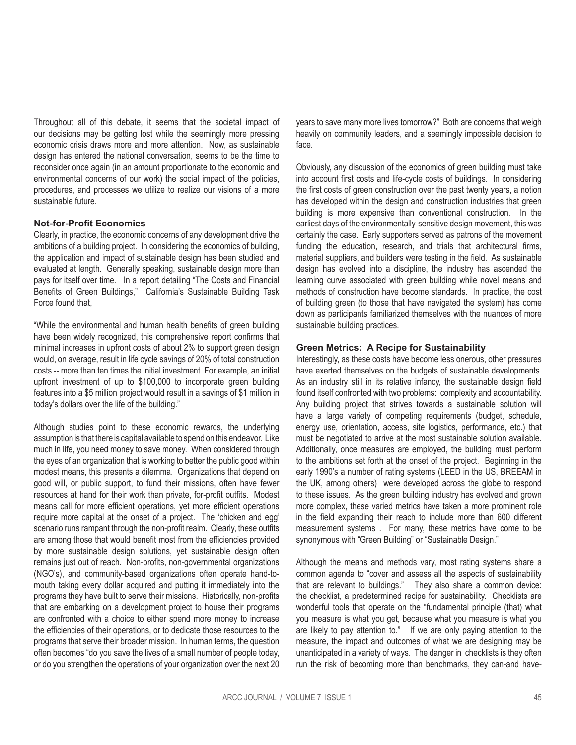Throughout all of this debate, it seems that the societal impact of our decisions may be getting lost while the seemingly more pressing economic crisis draws more and more attention. Now, as sustainable design has entered the national conversation, seems to be the time to reconsider once again (in an amount proportionate to the economic and environmental concerns of our work) the social impact of the policies, procedures, and processes we utilize to realize our visions of a more sustainable future.

### **Not-for-Profit Economies**

Clearly, in practice, the economic concerns of any development drive the ambitions of a building project. In considering the economics of building, the application and impact of sustainable design has been studied and evaluated at length. Generally speaking, sustainable design more than pays for itself over time. In a report detailing "The Costs and Financial Benefits of Green Buildings," California's Sustainable Building Task Force found that,

"While the environmental and human health benefits of green building have been widely recognized, this comprehensive report confirms that minimal increases in upfront costs of about 2% to support green design would, on average, result in life cycle savings of 20% of total construction costs -- more than ten times the initial investment. For example, an initial upfront investment of up to \$100,000 to incorporate green building features into a \$5 million project would result in a savings of \$1 million in today's dollars over the life of the building."

Although studies point to these economic rewards, the underlying assumption is that there is capital available to spend on this endeavor. Like much in life, you need money to save money. When considered through the eyes of an organization that is working to better the public good within modest means, this presents a dilemma. Organizations that depend on good will, or public support, to fund their missions, often have fewer resources at hand for their work than private, for-profit outfits. Modest means call for more efficient operations, yet more efficient operations require more capital at the onset of a project. The 'chicken and egg' scenario runs rampant through the non-profit realm. Clearly, these outfits are among those that would benefit most from the efficiencies provided by more sustainable design solutions, yet sustainable design often remains just out of reach. Non-profits, non-governmental organizations (NGO's), and community-based organizations often operate hand-tomouth taking every dollar acquired and putting it immediately into the programs they have built to serve their missions. Historically, non-profits that are embarking on a development project to house their programs are confronted with a choice to either spend more money to increase the efficiencies of their operations, or to dedicate those resources to the programs that serve their broader mission. In human terms, the question often becomes "do you save the lives of a small number of people today, or do you strengthen the operations of your organization over the next 20

years to save many more lives tomorrow?" Both are concerns that weigh heavily on community leaders, and a seemingly impossible decision to face.

Obviously, any discussion of the economics of green building must take into account first costs and life-cycle costs of buildings. In considering the first costs of green construction over the past twenty years, a notion has developed within the design and construction industries that green building is more expensive than conventional construction. In the earliest days of the environmentally-sensitive design movement, this was certainly the case. Early supporters served as patrons of the movement funding the education, research, and trials that architectural firms, material suppliers, and builders were testing in the field. As sustainable design has evolved into a discipline, the industry has ascended the learning curve associated with green building while novel means and methods of construction have become standards. In practice, the cost of building green (to those that have navigated the system) has come down as participants familiarized themselves with the nuances of more sustainable building practices.

## **Green Metrics: A Recipe for Sustainability**

Interestingly, as these costs have become less onerous, other pressures have exerted themselves on the budgets of sustainable developments. As an industry still in its relative infancy, the sustainable design field found itself confronted with two problems: complexity and accountability. Any building project that strives towards a sustainable solution will have a large variety of competing requirements (budget, schedule, energy use, orientation, access, site logistics, performance, etc.) that must be negotiated to arrive at the most sustainable solution available. Additionally, once measures are employed, the building must perform to the ambitions set forth at the onset of the project. Beginning in the early 1990's a number of rating systems (LEED in the US, BREEAM in the UK, among others) were developed across the globe to respond to these issues. As the green building industry has evolved and grown more complex, these varied metrics have taken a more prominent role in the field expanding their reach to include more than 600 different measurement systems . For many, these metrics have come to be synonymous with "Green Building" or "Sustainable Design."

Although the means and methods vary, most rating systems share a common agenda to "cover and assess all the aspects of sustainability that are relevant to buildings." They also share a common device: the checklist, a predetermined recipe for sustainability. Checklists are wonderful tools that operate on the "fundamental principle (that) what you measure is what you get, because what you measure is what you are likely to pay attention to." If we are only paying attention to the measure, the impact and outcomes of what we are designing may be unanticipated in a variety of ways. The danger in checklists is they often run the risk of becoming more than benchmarks, they can-and have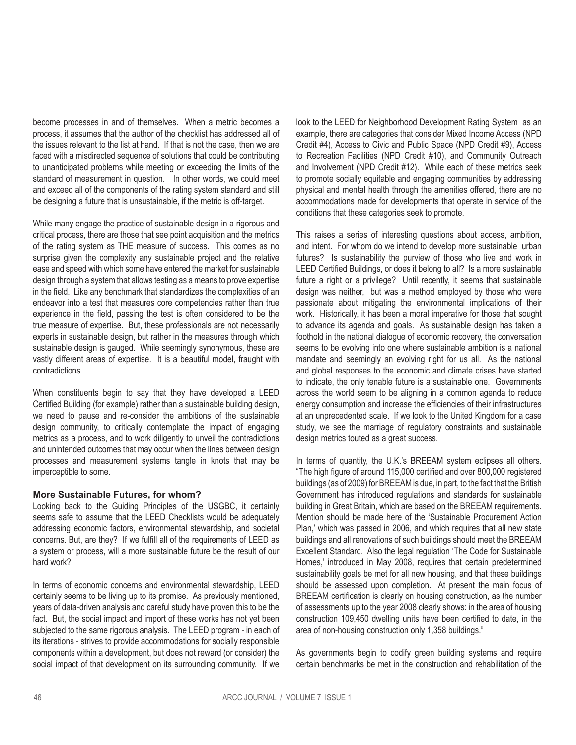become processes in and of themselves. When a metric becomes a process, it assumes that the author of the checklist has addressed all of the issues relevant to the list at hand. If that is not the case, then we are faced with a misdirected sequence of solutions that could be contributing to unanticipated problems while meeting or exceeding the limits of the standard of measurement in question. In other words, we could meet and exceed all of the components of the rating system standard and still be designing a future that is unsustainable, if the metric is off-target.

While many engage the practice of sustainable design in a rigorous and critical process, there are those that see point acquisition and the metrics of the rating system as THE measure of success. This comes as no surprise given the complexity any sustainable project and the relative ease and speed with which some have entered the market for sustainable design through a system that allows testing as a means to prove expertise in the field. Like any benchmark that standardizes the complexities of an endeavor into a test that measures core competencies rather than true experience in the field, passing the test is often considered to be the true measure of expertise. But, these professionals are not necessarily experts in sustainable design, but rather in the measures through which sustainable design is gauged. While seemingly synonymous, these are vastly different areas of expertise. It is a beautiful model, fraught with contradictions.

When constituents begin to say that they have developed a LEED Certified Building (for example) rather than a sustainable building design, we need to pause and re-consider the ambitions of the sustainable design community, to critically contemplate the impact of engaging metrics as a process, and to work diligently to unveil the contradictions and unintended outcomes that may occur when the lines between design processes and measurement systems tangle in knots that may be imperceptible to some.

## **More Sustainable Futures, for whom?**

Looking back to the Guiding Principles of the USGBC, it certainly seems safe to assume that the LEED Checklists would be adequately addressing economic factors, environmental stewardship, and societal concerns. But, are they? If we fulfill all of the requirements of LEED as a system or process, will a more sustainable future be the result of our hard work?

In terms of economic concerns and environmental stewardship, LEED certainly seems to be living up to its promise. As previously mentioned, years of data-driven analysis and careful study have proven this to be the fact. But, the social impact and import of these works has not yet been subjected to the same rigorous analysis. The LEED program - in each of its iterations - strives to provide accommodations for socially responsible components within a development, but does not reward (or consider) the social impact of that development on its surrounding community. If we

look to the LEED for Neighborhood Development Rating System as an example, there are categories that consider Mixed Income Access (NPD Credit #4), Access to Civic and Public Space (NPD Credit #9), Access to Recreation Facilities (NPD Credit #10), and Community Outreach and Involvement (NPD Credit #12). While each of these metrics seek to promote socially equitable and engaging communities by addressing physical and mental health through the amenities offered, there are no accommodations made for developments that operate in service of the conditions that these categories seek to promote.

This raises a series of interesting questions about access, ambition, and intent. For whom do we intend to develop more sustainable urban futures? Is sustainability the purview of those who live and work in LEED Certified Buildings, or does it belong to all? Is a more sustainable future a right or a privilege? Until recently, it seems that sustainable design was neither, but was a method employed by those who were passionate about mitigating the environmental implications of their work. Historically, it has been a moral imperative for those that sought to advance its agenda and goals. As sustainable design has taken a foothold in the national dialogue of economic recovery, the conversation seems to be evolving into one where sustainable ambition is a national mandate and seemingly an evolving right for us all. As the national and global responses to the economic and climate crises have started to indicate, the only tenable future is a sustainable one. Governments across the world seem to be aligning in a common agenda to reduce energy consumption and increase the efficiencies of their infrastructures at an unprecedented scale. If we look to the United Kingdom for a case study, we see the marriage of regulatory constraints and sustainable design metrics touted as a great success.

In terms of quantity, the U.K.'s BREEAM system eclipses all others. "The high figure of around 115,000 certified and over 800,000 registered buildings (as of 2009) for BREEAM is due, in part, to the fact that the British Government has introduced regulations and standards for sustainable building in Great Britain, which are based on the BREEAM requirements. Mention should be made here of the 'Sustainable Procurement Action Plan,' which was passed in 2006, and which requires that all new state buildings and all renovations of such buildings should meet the BREEAM Excellent Standard. Also the legal regulation 'The Code for Sustainable Homes,' introduced in May 2008, requires that certain predetermined sustainability goals be met for all new housing, and that these buildings should be assessed upon completion. At present the main focus of BREEAM certification is clearly on housing construction, as the number of assessments up to the year 2008 clearly shows: in the area of housing construction 109,450 dwelling units have been certified to date, in the area of non-housing construction only 1,358 buildings."

As governments begin to codify green building systems and require certain benchmarks be met in the construction and rehabilitation of the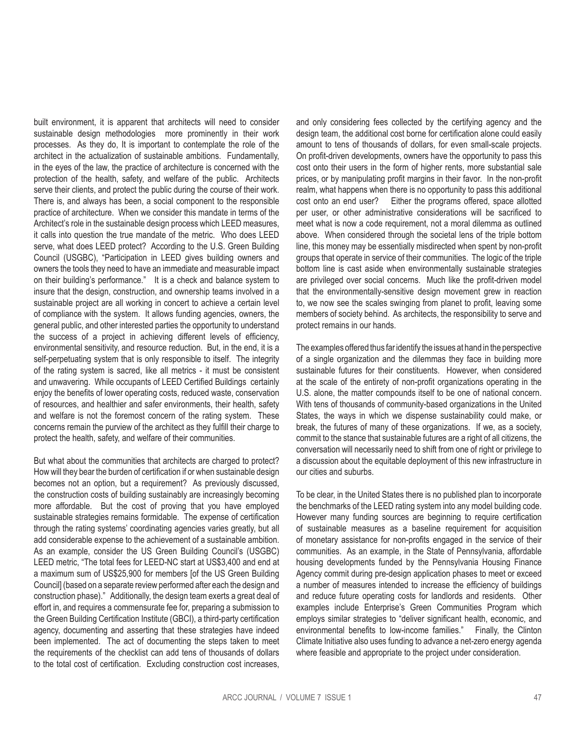built environment, it is apparent that architects will need to consider sustainable design methodologies more prominently in their work processes. As they do, It is important to contemplate the role of the architect in the actualization of sustainable ambitions. Fundamentally, in the eyes of the law, the practice of architecture is concerned with the protection of the health, safety, and welfare of the public. Architects serve their clients, and protect the public during the course of their work. There is, and always has been, a social component to the responsible practice of architecture. When we consider this mandate in terms of the Architect's role in the sustainable design process which LEED measures, it calls into question the true mandate of the metric. Who does LEED serve, what does LEED protect? According to the U.S. Green Building Council (USGBC), "Participation in LEED gives building owners and owners the tools they need to have an immediate and measurable impact on their building's performance." It is a check and balance system to insure that the design, construction, and ownership teams involved in a sustainable project are all working in concert to achieve a certain level of compliance with the system. It allows funding agencies, owners, the general public, and other interested parties the opportunity to understand the success of a project in achieving different levels of efficiency, environmental sensitivity, and resource reduction. But, in the end, it is a self-perpetuating system that is only responsible to itself. The integrity of the rating system is sacred, like all metrics - it must be consistent and unwavering. While occupants of LEED Certified Buildings certainly enjoy the benefits of lower operating costs, reduced waste, conservation of resources, and healthier and safer environments, their health, safety and welfare is not the foremost concern of the rating system. These concerns remain the purview of the architect as they fulfill their charge to protect the health, safety, and welfare of their communities.

But what about the communities that architects are charged to protect? How will they bear the burden of certification if or when sustainable design becomes not an option, but a requirement? As previously discussed, the construction costs of building sustainably are increasingly becoming more affordable. But the cost of proving that you have employed sustainable strategies remains formidable. The expense of certification through the rating systems' coordinating agencies varies greatly, but all add considerable expense to the achievement of a sustainable ambition. As an example, consider the US Green Building Council's (USGBC) LEED metric, "The total fees for LEED-NC start at US\$3,400 and end at a maximum sum of US\$25,900 for members [of the US Green Building Council] (based on a separate review performed after each the design and construction phase)." Additionally, the design team exerts a great deal of effort in, and requires a commensurate fee for, preparing a submission to the Green Building Certification Institute (GBCI), a third-party certification agency, documenting and asserting that these strategies have indeed been implemented. The act of documenting the steps taken to meet the requirements of the checklist can add tens of thousands of dollars to the total cost of certification. Excluding construction cost increases,

and only considering fees collected by the certifying agency and the design team, the additional cost borne for certification alone could easily amount to tens of thousands of dollars, for even small-scale projects. On profit-driven developments, owners have the opportunity to pass this cost onto their users in the form of higher rents, more substantial sale prices, or by manipulating profit margins in their favor. In the non-profit realm, what happens when there is no opportunity to pass this additional cost onto an end user? Either the programs offered, space allotted per user, or other administrative considerations will be sacrificed to meet what is now a code requirement, not a moral dilemma as outlined above. When considered through the societal lens of the triple bottom line, this money may be essentially misdirected when spent by non-profit groups that operate in service of their communities. The logic of the triple bottom line is cast aside when environmentally sustainable strategies are privileged over social concerns. Much like the profit-driven model that the environmentally-sensitive design movement grew in reaction to, we now see the scales swinging from planet to profit, leaving some members of society behind. As architects, the responsibility to serve and protect remains in our hands.

The examples offered thus far identify the issues at hand in the perspective of a single organization and the dilemmas they face in building more sustainable futures for their constituents. However, when considered at the scale of the entirety of non-profit organizations operating in the U.S. alone, the matter compounds itself to be one of national concern. With tens of thousands of community-based organizations in the United States, the ways in which we dispense sustainability could make, or break, the futures of many of these organizations. If we, as a society, commit to the stance that sustainable futures are a right of all citizens, the conversation will necessarily need to shift from one of right or privilege to a discussion about the equitable deployment of this new infrastructure in our cities and suburbs.

To be clear, in the United States there is no published plan to incorporate the benchmarks of the LEED rating system into any model building code. However many funding sources are beginning to require certification of sustainable measures as a baseline requirement for acquisition of monetary assistance for non-profits engaged in the service of their communities. As an example, in the State of Pennsylvania, affordable housing developments funded by the Pennsylvania Housing Finance Agency commit during pre-design application phases to meet or exceed a number of measures intended to increase the efficiency of buildings and reduce future operating costs for landlords and residents. Other examples include Enterprise's Green Communities Program which employs similar strategies to "deliver significant health, economic, and environmental benefits to low-income families." Finally, the Clinton Climate Initiative also uses funding to advance a net-zero energy agenda where feasible and appropriate to the project under consideration.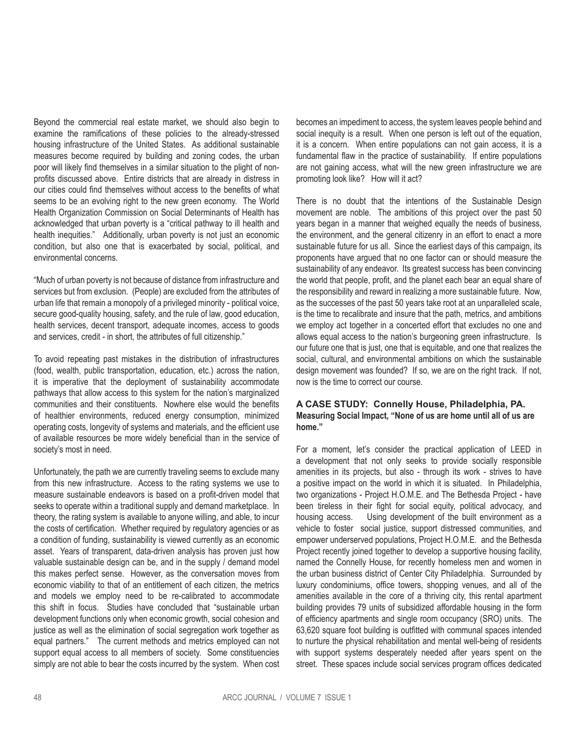Beyond the commercial real estate market, we should also begin to examine the ramifications of these policies to the already-stressed housing infrastructure of the United States. As additional sustainable measures become required by building and zoning codes, the urban poor will likely find themselves in a similar situation to the plight of nonprofits discussed above. Entire districts that are already in distress in our cities could find themselves without access to the benefits of what seems to be an evolving right to the new green economy. The World Health Organization Commission on Social Determinants of Health has acknowledged that urban poverty is a "critical pathway to ill health and health inequities." Additionally, urban poverty is not just an economic condition, but also one that is exacerbated by social, political, and environmental concerns.

"Much of urban poverty is not because of distance from infrastructure and services but from exclusion. (People) are excluded from the attributes of urban life that remain a monopoly of a privileged minority - political voice, secure good-quality housing, safety, and the rule of law, good education, health services, decent transport, adequate incomes, access to goods and services, credit - in short, the attributes of full citizenship."

To avoid repeating past mistakes in the distribution of infrastructures (food, wealth, public transportation, education, etc.) across the nation, it is imperative that the deployment of sustainability accommodate pathways that allow access to this system for the nation's marginalized communities and their constituents. Nowhere else would the benefits of healthier environments, reduced energy consumption, minimized operating costs, longevity of systems and materials, and the efficient use of available resources be more widely beneficial than in the service of society's most in need.

Unfortunately, the path we are currently traveling seems to exclude many from this new infrastructure. Access to the rating systems we use to measure sustainable endeavors is based on a profit-driven model that seeks to operate within a traditional supply and demand marketplace. In theory, the rating system is available to anyone willing, and able, to incur the costs of certification. Whether required by regulatory agencies or as a condition of funding, sustainability is viewed currently as an economic asset. Years of transparent, data-driven analysis has proven just how valuable sustainable design can be, and in the supply / demand model this makes perfect sense. However, as the conversation moves from economic viability to that of an entitlement of each citizen, the metrics and models we employ need to be re-calibrated to accommodate this shift in focus. Studies have concluded that "sustainable urban development functions only when economic growth, social cohesion and justice as well as the elimination of social segregation work together as equal partners." The current methods and metrics employed can not support equal access to all members of society. Some constituencies simply are not able to bear the costs incurred by the system. When cost

becomes an impediment to access, the system leaves people behind and social inequity is a result. When one person is left out of the equation, it is a concern. When entire populations can not gain access, it is a fundamental flaw in the practice of sustainability. If entire populations are not gaining access, what will the new green infrastructure we are promoting look like? How will it act?

There is no doubt that the intentions of the Sustainable Design movement are noble. The ambitions of this project over the past 50 years began in a manner that weighed equally the needs of business, the environment, and the general citizenry in an effort to enact a more sustainable future for us all. Since the earliest days of this campaign, its proponents have argued that no one factor can or should measure the sustainability of any endeavor. Its greatest success has been convincing the world that people, profit, and the planet each bear an equal share of the responsibility and reward in realizing a more sustainable future. Now, as the successes of the past 50 years take root at an unparalleled scale, is the time to recalibrate and insure that the path, metrics, and ambitions we employ act together in a concerted effort that excludes no one and allows equal access to the nation's burgeoning green infrastructure. Is our future one that is just, one that is equitable, and one that realizes the social, cultural, and environmental ambitions on which the sustainable design movement was founded? If so, we are on the right track. If not, now is the time to correct our course.

# **A CASE STUDY: Connelly House, Philadelphia, PA. Measuring Social Impact, "None of us are home until all of us are home."**

For a moment, let's consider the practical application of LEED in a development that not only seeks to provide socially responsible amenities in its projects, but also - through its work - strives to have a positive impact on the world in which it is situated. In Philadelphia, two organizations - Project H.O.M.E. and The Bethesda Project - have been tireless in their fight for social equity, political advocacy, and housing access. Using development of the built environment as a vehicle to foster social justice, support distressed communities, and empower underserved populations, Project H.O.M.E. and the Bethesda Project recently joined together to develop a supportive housing facility, named the Connelly House, for recently homeless men and women in the urban business district of Center City Philadelphia. Surrounded by luxury condominiums, office towers, shopping venues, and all of the amenities available in the core of a thriving city, this rental apartment building provides 79 units of subsidized affordable housing in the form of efficiency apartments and single room occupancy (SRO) units. The 63,620 square foot building is outfitted with communal spaces intended to nurture the physical rehabilitation and mental well-being of residents with support systems desperately needed after years spent on the street. These spaces include social services program offices dedicated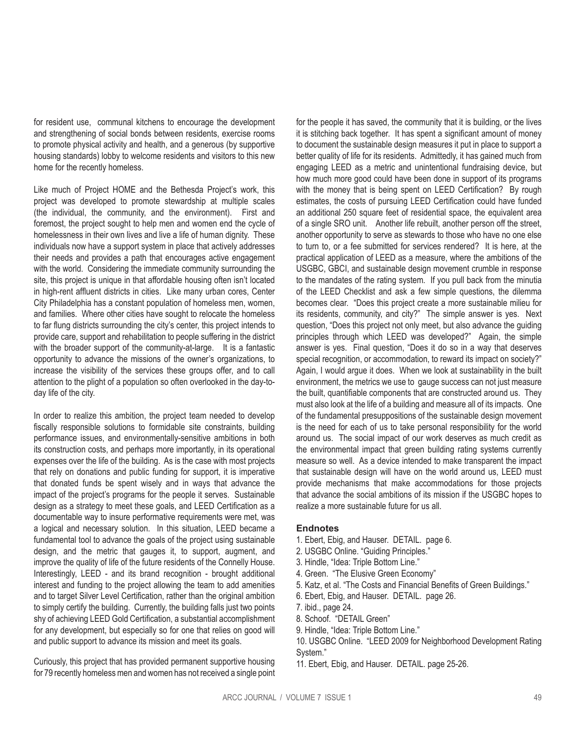for resident use, communal kitchens to encourage the development and strengthening of social bonds between residents, exercise rooms to promote physical activity and health, and a generous (by supportive housing standards) lobby to welcome residents and visitors to this new home for the recently homeless.

Like much of Project HOME and the Bethesda Project's work, this project was developed to promote stewardship at multiple scales (the individual, the community, and the environment). First and foremost, the project sought to help men and women end the cycle of homelessness in their own lives and live a life of human dignity. These individuals now have a support system in place that actively addresses their needs and provides a path that encourages active engagement with the world. Considering the immediate community surrounding the site, this project is unique in that affordable housing often isn't located in high-rent affluent districts in cities. Like many urban cores, Center City Philadelphia has a constant population of homeless men, women, and families. Where other cities have sought to relocate the homeless to far flung districts surrounding the city's center, this project intends to provide care, support and rehabilitation to people suffering in the district with the broader support of the community-at-large. It is a fantastic opportunity to advance the missions of the owner's organizations, to increase the visibility of the services these groups offer, and to call attention to the plight of a population so often overlooked in the day-today life of the city.

In order to realize this ambition, the project team needed to develop fiscally responsible solutions to formidable site constraints, building performance issues, and environmentally-sensitive ambitions in both its construction costs, and perhaps more importantly, in its operational expenses over the life of the building. As is the case with most projects that rely on donations and public funding for support, it is imperative that donated funds be spent wisely and in ways that advance the impact of the project's programs for the people it serves. Sustainable design as a strategy to meet these goals, and LEED Certification as a documentable way to insure performative requirements were met, was a logical and necessary solution. In this situation, LEED became a fundamental tool to advance the goals of the project using sustainable design, and the metric that gauges it, to support, augment, and improve the quality of life of the future residents of the Connelly House. Interestingly, LEED - and its brand recognition - brought additional interest and funding to the project allowing the team to add amenities and to target Silver Level Certification, rather than the original ambition to simply certify the building. Currently, the building falls just two points shy of achieving LEED Gold Certification, a substantial accomplishment for any development, but especially so for one that relies on good will and public support to advance its mission and meet its goals.

Curiously, this project that has provided permanent supportive housing for 79 recently homeless men and women has not received a single point for the people it has saved, the community that it is building, or the lives it is stitching back together. It has spent a significant amount of money to document the sustainable design measures it put in place to support a better quality of life for its residents. Admittedly, it has gained much from engaging LEED as a metric and unintentional fundraising device, but how much more good could have been done in support of its programs with the money that is being spent on LEED Certification? By rough estimates, the costs of pursuing LEED Certification could have funded an additional 250 square feet of residential space, the equivalent area of a single SRO unit. Another life rebuilt, another person off the street, another opportunity to serve as stewards to those who have no one else to turn to, or a fee submitted for services rendered? It is here, at the practical application of LEED as a measure, where the ambitions of the USGBC, GBCI, and sustainable design movement crumble in response to the mandates of the rating system. If you pull back from the minutia of the LEED Checklist and ask a few simple questions, the dilemma becomes clear. "Does this project create a more sustainable milieu for its residents, community, and city?" The simple answer is yes. Next question, "Does this project not only meet, but also advance the guiding principles through which LEED was developed?" Again, the simple answer is yes. Final question, "Does it do so in a way that deserves special recognition, or accommodation, to reward its impact on society?" Again, I would argue it does. When we look at sustainability in the built environment, the metrics we use to gauge success can not just measure the built, quantifiable components that are constructed around us. They must also look at the life of a building and measure all of its impacts. One of the fundamental presuppositions of the sustainable design movement is the need for each of us to take personal responsibility for the world around us. The social impact of our work deserves as much credit as the environmental impact that green building rating systems currently measure so well. As a device intended to make transparent the impact that sustainable design will have on the world around us, LEED must provide mechanisms that make accommodations for those projects that advance the social ambitions of its mission if the USGBC hopes to realize a more sustainable future for us all.

## **Endnotes**

- 1. Ebert, Ebig, and Hauser. DETAIL. page 6.
- 2. USGBC Online. "Guiding Principles."
- 3. Hindle, "Idea: Triple Bottom Line."
- 4. Green. "The Elusive Green Economy"
- 5. Katz, et al. "The Costs and Financial Benefits of Green Buildings."
- 6. Ebert, Ebig, and Hauser. DETAIL. page 26.
- 7. ibid., page 24.
- 8. Schoof. "DETAIL Green"
- 9. Hindle, "Idea: Triple Bottom Line."
- 10. USGBC Online. "LEED 2009 for Neighborhood Development Rating System."
- 11. Ebert, Ebig, and Hauser. DETAIL. page 25-26.